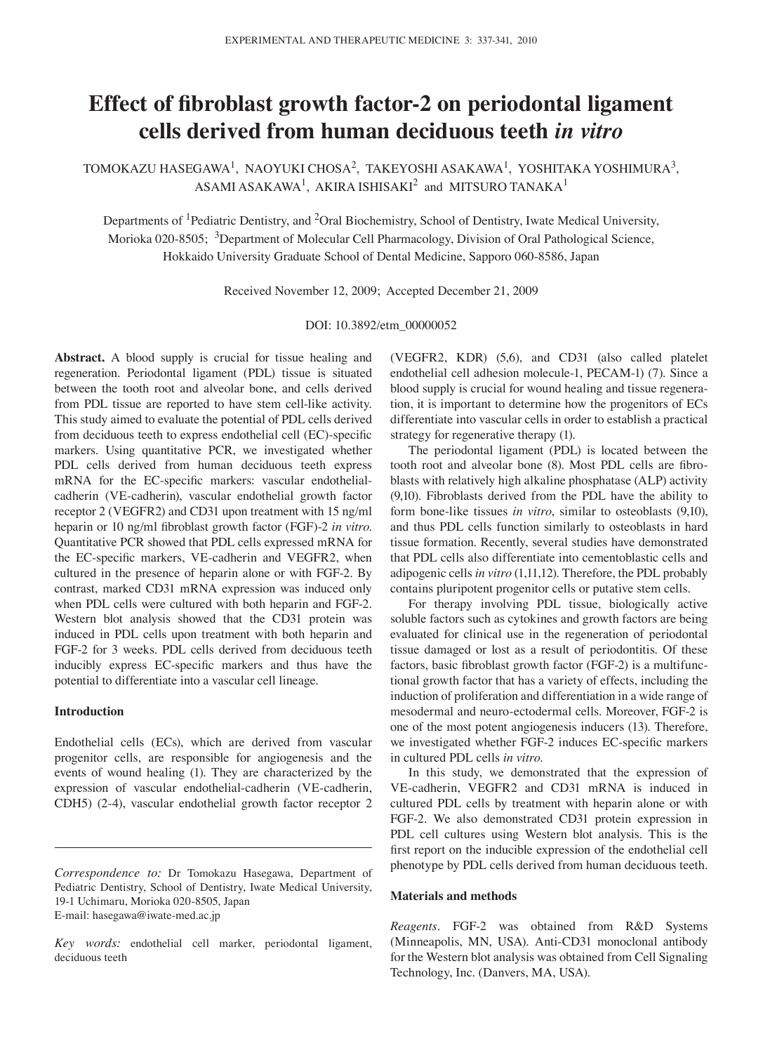# **Effect of fibroblast growth factor-2 on periodontal ligament cells derived from human deciduous teeth** *in vitro*

TOMOKAZU HASEGAWA<sup>1</sup>, NAOYUKI CHOSA<sup>2</sup>, TAKEYOSHI ASAKAWA<sup>1</sup>, YOSHITAKA YOSHIMURA<sup>3</sup>, ASAMI ASAKAWA<sup>1</sup>, AKIRA ISHISAKI $^2$  and MITSURO TANAKA<sup>1</sup>

Departments of <sup>1</sup>Pediatric Dentistry, and <sup>2</sup>Oral Biochemistry, School of Dentistry, Iwate Medical University, Morioka 020-8505; <sup>3</sup>Department of Molecular Cell Pharmacology, Division of Oral Pathological Science, Hokkaido University Graduate School of Dental Medicine, Sapporo 060-8586, Japan

Received November 12, 2009; Accepted December 21, 2009

DOI: 10.3892/etm\_00000052

**Abstract.** A blood supply is crucial for tissue healing and regeneration. Periodontal ligament (PDL) tissue is situated between the tooth root and alveolar bone, and cells derived from PDL tissue are reported to have stem cell-like activity. This study aimed to evaluate the potential of PDL cells derived from deciduous teeth to express endothelial cell (EC)-specific markers. Using quantitative PCR, we investigated whether PDL cells derived from human deciduous teeth express mRNA for the EC-specific markers: vascular endothelialcadherin (VE-cadherin), vascular endothelial growth factor receptor 2 (VEGFR2) and CD31 upon treatment with 15 ng/ml heparin or 10 ng/ml fibroblast growth factor (FGF)-2 *in vitro*. Quantitative PCR showed that PDL cells expressed mRNA for the EC-specific markers, VE-cadherin and VEGFR2, when cultured in the presence of heparin alone or with FGF-2. By contrast, marked CD31 mRNA expression was induced only when PDL cells were cultured with both heparin and FGF-2. Western blot analysis showed that the CD31 protein was induced in PDL cells upon treatment with both heparin and FGF-2 for 3 weeks. PDL cells derived from deciduous teeth inducibly express EC-specific markers and thus have the potential to differentiate into a vascular cell lineage*.*

# **Introduction**

Endothelial cells (ECs), which are derived from vascular progenitor cells, are responsible for angiogenesis and the events of wound healing (1). They are characterized by the expression of vascular endothelial-cadherin (VE-cadherin, CDH5) (2-4), vascular endothelial growth factor receptor 2

(VEGFR2, KDR) (5,6), and CD31 (also called platelet endothelial cell adhesion molecule-1, PECAM-1) (7). Since a blood supply is crucial for wound healing and tissue regeneration, it is important to determine how the progenitors of ECs differentiate into vascular cells in order to establish a practical strategy for regenerative therapy (1).

The periodontal ligament (PDL) is located between the tooth root and alveolar bone (8). Most PDL cells are fibroblasts with relatively high alkaline phosphatase (ALP) activity (9,10). Fibroblasts derived from the PDL have the ability to form bone-like tissues *in vitro*, similar to osteoblasts (9,10), and thus PDL cells function similarly to osteoblasts in hard tissue formation. Recently, several studies have demonstrated that PDL cells also differentiate into cementoblastic cells and adipogenic cells *in vitro* (1,11,12). Therefore, the PDL probably contains pluripotent progenitor cells or putative stem cells*.*

For therapy involving PDL tissue, biologically active soluble factors such as cytokines and growth factors are being evaluated for clinical use in the regeneration of periodontal tissue damaged or lost as a result of periodontitis. Of these factors, basic fibroblast growth factor (FGF-2) is a multifunctional growth factor that has a variety of effects, including the induction of proliferation and differentiation in a wide range of mesodermal and neuro-ectodermal cells. Moreover, FGF-2 is one of the most potent angiogenesis inducers (13). Therefore, we investigated whether FGF-2 induces EC-specific markers in cultured PDL cells *in vitro*.

In this study, we demonstrated that the expression of VE-cadherin, VEGFR2 and CD31 mRNA is induced in cultured PDL cells by treatment with heparin alone or with FGF-2. We also demonstrated CD31 protein expression in PDL cell cultures using Western blot analysis. This is the first report on the inducible expression of the endothelial cell phenotype by PDL cells derived from human deciduous teeth.

## **Materials and methods**

*Reagents.* FGF-2 was obtained from R&D Systems (Minneapolis, MN, USA). Anti-CD31 monoclonal antibody for the Western blot analysis was obtained from Cell Signaling Technology, Inc. (Danvers, MA, USA)*.*

*Correspondence to:* Dr Tomokazu Hasegawa, Department of Pediatric Dentistry, School of Dentistry, Iwate Medical University, 19-1 Uchimaru, Morioka 020-8505, Japan E-mail: hasegawa@iwate-med.ac.jp

*Key words:* endothelial cell marker, periodontal ligament, deciduous teeth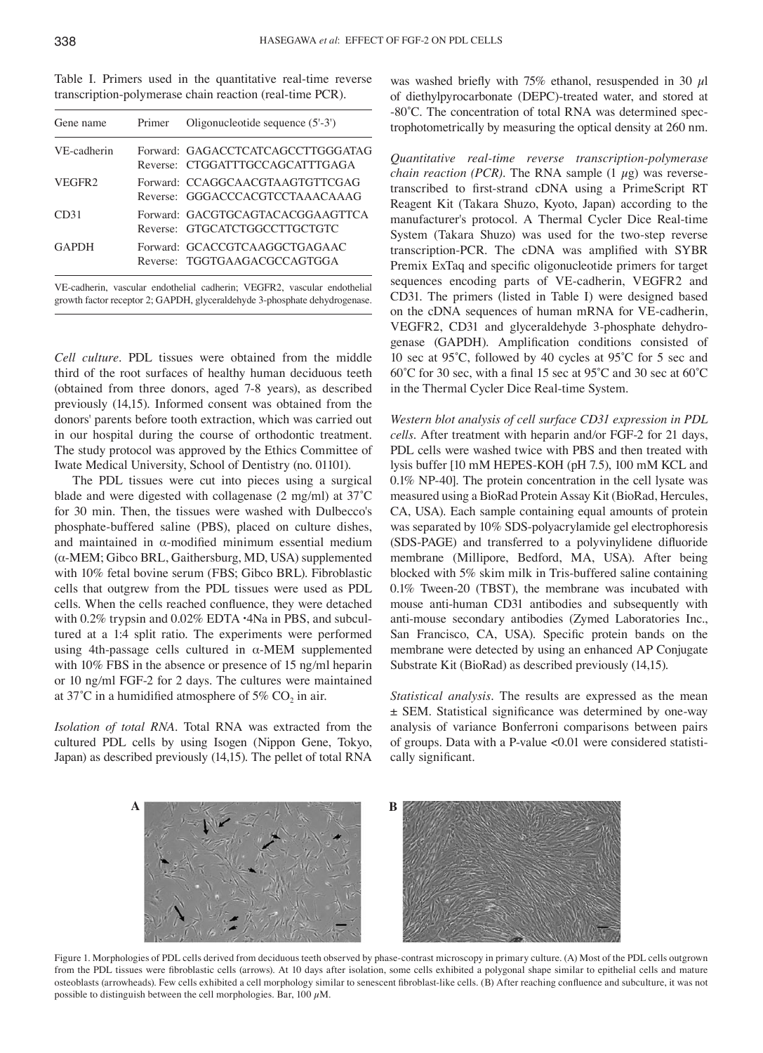|                                                          |  |  |  |  |  | Table I. Primers used in the quantitative real-time reverse |  |  |
|----------------------------------------------------------|--|--|--|--|--|-------------------------------------------------------------|--|--|
| transcription-polymerase chain reaction (real-time PCR). |  |  |  |  |  |                                                             |  |  |

| Gene name          | Primer | Oligonucleotide sequence $(5'-3')$                                   |
|--------------------|--------|----------------------------------------------------------------------|
| VE-cadherin        |        | Forward: GAGACCTCATCAGCCTTGGGATAG<br>Reverse: CTGGATTTGCCAGCATTTGAGA |
| VEGFR <sub>2</sub> |        | Forward: CCAGGCAACGTAAGTGTTCGAG<br>Reverse: GGGACCCACGTCCTAAACAAAG   |
| CD31               |        | Forward: GACGTGCAGTACACGGAAGTTCA<br>Reverse: GTGCATCTGGCCTTGCTGTC    |
| <b>GAPDH</b>       |        | Forward: GCACCGTCAAGGCTGAGAAC<br>Reverse: TGGTGAAGACGCCAGTGGA        |
|                    |        |                                                                      |

VE-cadherin, vascular endothelial cadherin; VEGFR2, vascular endothelial growth factor receptor 2; GAPDH, glyceraldehyde 3-phosphate dehydrogenase.

*Cell culture.* PDL tissues were obtained from the middle third of the root surfaces of healthy human deciduous teeth (obtained from three donors, aged 7-8 years), as described previously (14,15). Informed consent was obtained from the donors' parents before tooth extraction, which was carried out in our hospital during the course of orthodontic treatment. The study protocol was approved by the Ethics Committee of Iwate Medical University, School of Dentistry (no. 01101).

The PDL tissues were cut into pieces using a surgical blade and were digested with collagenase (2 mg/ml) at 37˚C for 30 min. Then, the tissues were washed with Dulbecco's phosphate-buffered saline (PBS), placed on culture dishes, and maintained in α-modified minimum essential medium (α-MEM; Gibco BRL, Gaithersburg, MD, USA) supplemented with 10% fetal bovine serum (FBS; Gibco BRL). Fibroblastic cells that outgrew from the PDL tissues were used as PDL cells. When the cells reached confluence, they were detached with 0.2% trypsin and 0.02% EDTA  $\cdot$ 4Na in PBS, and subcultured at a 1:4 split ratio. The experiments were performed using 4th-passage cells cultured in  $\alpha$ -MEM supplemented with 10% FBS in the absence or presence of 15 ng*/*ml heparin or 10 ng*/*ml FGF-2 for 2 days. The cultures were maintained at 37°C in a humidified atmosphere of 5%  $CO<sub>2</sub>$  in air.

*Isolation of total RNA.* Total RNA was extracted from the cultured PDL cells by using Isogen (Nippon Gene, Tokyo, Japan) as described previously (14,15). The pellet of total RNA was washed briefly with 75% ethanol, resuspended in 30  $\mu$ l of diethylpyrocarbonate (DEPC)-treated water, and stored at -80˚C. The concentration of total RNA was determined spectrophotometrically by measuring the optical density at 260 nm.

*Quantitative real-time reverse transcription-polymerase chain reaction (PCR)*. The RNA sample  $(1 \mu g)$  was reversetranscribed to first-strand cDNA using a PrimeScript RT Reagent Kit (Takara Shuzo, Kyoto, Japan) according to the manufacturer's protocol. A Thermal Cycler Dice Real-time System (Takara Shuzo) was used for the two-step reverse transcription-PCR. The cDNA was amplified with SYBR Premix ExTaq and specific oligonucleotide primers for target sequences encoding parts of VE-cadherin, VEGFR2 and CD31. The primers (listed in Table I) were designed based on the cDNA sequences of human mRNA for VE-cadherin, VEGFR2, CD31 and glyceraldehyde 3-phosphate dehydrogenase (GAPDH). Amplification conditions consisted of 10 sec at 95˚C, followed by 40 cycles at 95˚C for 5 sec and 60˚C for 30 sec, with a final 15 sec at 95˚C and 30 sec at 60˚C in the Thermal Cycler Dice Real-time System*.*

*Western blot analysis of cell surface CD31 expression in PDL cells.* After treatment with heparin and*/*or FGF-2 for 21 days, PDL cells were washed twice with PBS and then treated with lysis buffer [10 mM HEPES-KOH (pH 7.5), 100 mM KCL and 0.1% NP-40]. The protein concentration in the cell lysate was measured using a BioRad Protein Assay Kit (BioRad, Hercules, CA, USA). Each sample containing equal amounts of protein was separated by 10% SDS-polyacrylamide gel electrophoresis (SDS-PAGE) and transferred to a polyvinylidene difluoride membrane (Millipore, Bedford, MA, USA). After being blocked with 5% skim milk in Tris-buffered saline containing 0.1% Tween-20 (TBST), the membrane was incubated with mouse anti-human CD31 antibodies and subsequently with anti-mouse secondary antibodies (Zymed Laboratories Inc., San Francisco, CA, USA). Specific protein bands on the membrane were detected by using an enhanced AP Conjugate Substrate Kit (BioRad) as described previously (14,15).

*Statistical analysis.* The results are expressed as the mean ± SEM. Statistical significance was determined by one-way analysis of variance Bonferroni comparisons between pairs of groups. Data with a P-value <0.01 were considered statistically significant*.*



Figure 1. Morphologies of PDL cells derived from deciduous teeth observed by phase-contrast microscopy in primary culture. (A) Most of the PDL cells outgrown from the PDL tissues were fibroblastic cells (arrows). At 10 days after isolation, some cells exhibited a polygonal shape similar to epithelial cells and mature osteoblasts (arrowheads). Few cells exhibited a cell morphology similar to senescent fibroblast-like cells. (B) After reaching confluence and subculture, it was not possible to distinguish between the cell morphologies. Bar, 100  $\mu$ M.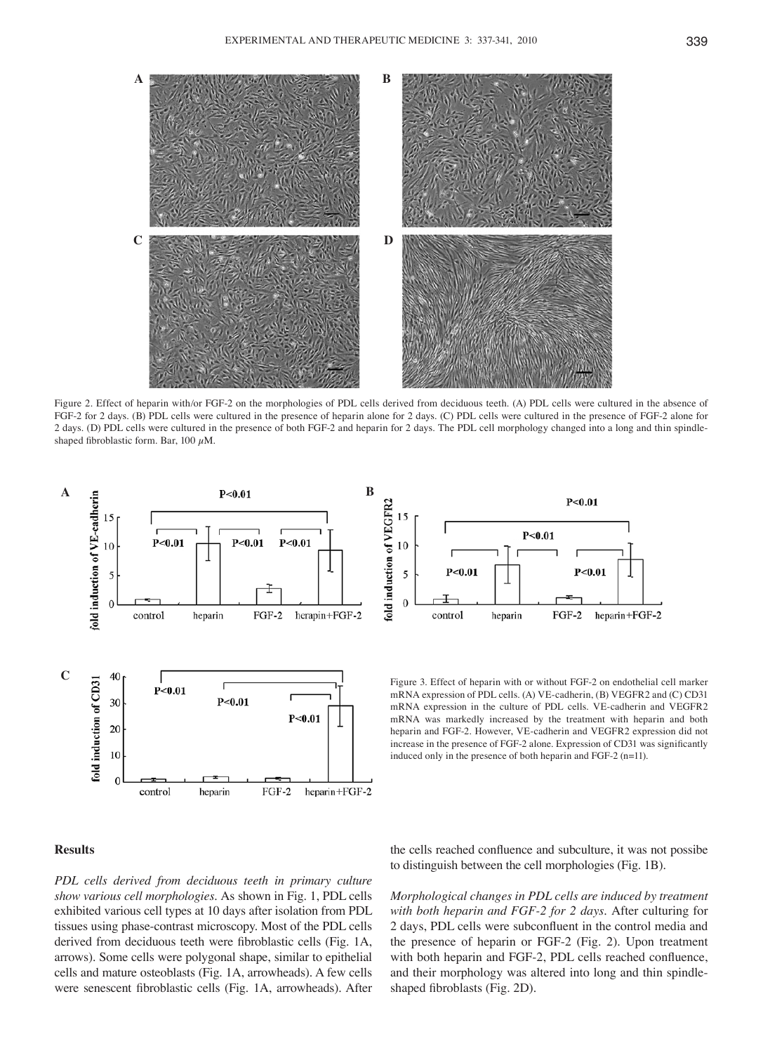

Figure 2. Effect of heparin with/or FGF-2 on the morphologies of PDL cells derived from deciduous teeth. (A) PDL cells were cultured in the absence of FGF-2 for 2 days. (B) PDL cells were cultured in the presence of heparin alone for 2 days. (C) PDL cells were cultured in the presence of FGF-2 alone for 2 days. (D) PDL cells were cultured in the presence of both FGF-2 and heparin for 2 days. The PDL cell morphology changed into a long and thin spindleshaped fibroblastic form. Bar, 100  $\mu$ M.



#### $P<0.01$ fold induction of VEGFR2 15  $P<0.01$ 10  $P<sub>0.01</sub>$  $P<sub>0.01</sub>$ 5  $\Omega$ control heparin FGF-2 heparin+FGF-2

mRNA expression of PDL cells. (A) VE-cadherin, (B) VEGFR2 and (C) CD31 mRNA expression in the culture of PDL cells. VE-cadherin and VEGFR2 mRNA was markedly increased by the treatment with heparin and both heparin and FGF-2. However, VE-cadherin and VEGFR2 expression did not increase in the presence of FGF-2 alone. Expression of CD31 was significantly induced only in the presence of both heparin and FGF-2 (n=11).

# **Results**

*PDL cells derived from deciduous teeth in primary culture show various cell morphologies.* As shown in Fig. 1, PDL cells exhibited various cell types at 10 days after isolation from PDL tissues using phase-contrast microscopy. Most of the PDL cells derived from deciduous teeth were fibroblastic cells (Fig. 1A, arrows). Some cells were polygonal shape, similar to epithelial cells and mature osteoblasts (Fig. 1A, arrowheads). A few cells were senescent fibroblastic cells (Fig. 1A, arrowheads). After the cells reached confluence and subculture, it was not possibe to distinguish between the cell morphologies (Fig. 1B).

*Morphological changes in PDL cells are induced by treatment with both heparin and FGF-2 for 2 days.* After culturing for 2 days, PDL cells were subconfluent in the control media and the presence of heparin or FGF-2 (Fig. 2). Upon treatment with both heparin and FGF-2, PDL cells reached confluence, and their morphology was altered into long and thin spindleshaped fibroblasts (Fig. 2D).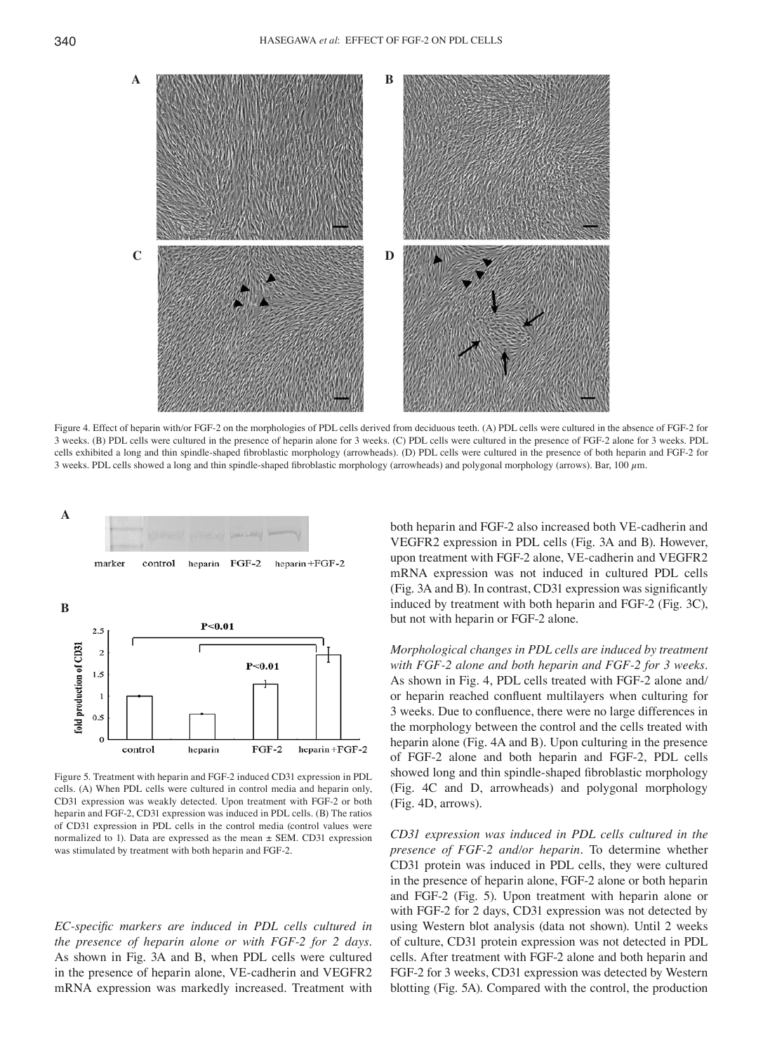

Figure 4. Effect of heparin with/or FGF-2 on the morphologies of PDL cells derived from deciduous teeth. (A) PDL cells were cultured in the absence of FGF-2 for 3 weeks. (B) PDL cells were cultured in the presence of heparin alone for 3 weeks. (C) PDL cells were cultured in the presence of FGF-2 alone for 3 weeks. PDL cells exhibited a long and thin spindle-shaped fibroblastic morphology (arrowheads). (D) PDL cells were cultured in the presence of both heparin and FGF-2 for 3 weeks. PDL cells showed a long and thin spindle-shaped fibroblastic morphology (arrowheads) and polygonal morphology (arrows). Bar, 100 µm.



Figure 5. Treatment with heparin and FGF-2 induced CD31 expression in PDL cells. (A) When PDL cells were cultured in control media and heparin only, CD31 expression was weakly detected. Upon treatment with FGF-2 or both heparin and FGF-2, CD31 expression was induced in PDL cells. (B) The ratios of CD31 expression in PDL cells in the control media (control values were normalized to 1). Data are expressed as the mean  $\pm$  SEM. CD31 expression was stimulated by treatment with both heparin and FGF-2.

*EC-specific markers are induced in PDL cells cultured in the presence of heparin alone or with FGF-2 for 2 days.*  As shown in Fig. 3A and B, when PDL cells were cultured in the presence of heparin alone, VE-cadherin and VEGFR2 mRNA expression was markedly increased. Treatment with

both heparin and FGF-2 also increased both VE-cadherin and VEGFR2 expression in PDL cells (Fig. 3A and B). However, upon treatment with FGF-2 alone, VE-cadherin and VEGFR2 mRNA expression was not induced in cultured PDL cells (Fig. 3A and B). In contrast, CD31 expression was significantly induced by treatment with both heparin and FGF-2 (Fig. 3C), but not with heparin or FGF-2 alone.

*Morphological changes in PDL cells are induced by treatment with FGF-2 alone and both heparin and FGF-2 for 3 weeks.*  As shown in Fig. 4, PDL cells treated with FGF-2 alone and*/* or heparin reached confluent multilayers when culturing for 3 weeks. Due to confluence, there were no large differences in the morphology between the control and the cells treated with heparin alone (Fig. 4A and B). Upon culturing in the presence of FGF-2 alone and both heparin and FGF-2, PDL cells showed long and thin spindle-shaped fibroblastic morphology (Fig. 4C and D, arrowheads) and polygonal morphology (Fig. 4D, arrows)*.*

*CD31 expression was induced in PDL cells cultured in the presence of FGF-2 and/or heparin.* To determine whether CD31 protein was induced in PDL cells, they were cultured in the presence of heparin alone, FGF-2 alone or both heparin and FGF-2 (Fig. 5). Upon treatment with heparin alone or with FGF-2 for 2 days, CD31 expression was not detected by using Western blot analysis (data not shown). Until 2 weeks of culture, CD31 protein expression was not detected in PDL cells. After treatment with FGF-2 alone and both heparin and FGF-2 for 3 weeks, CD31 expression was detected by Western blotting (Fig. 5A). Compared with the control, the production